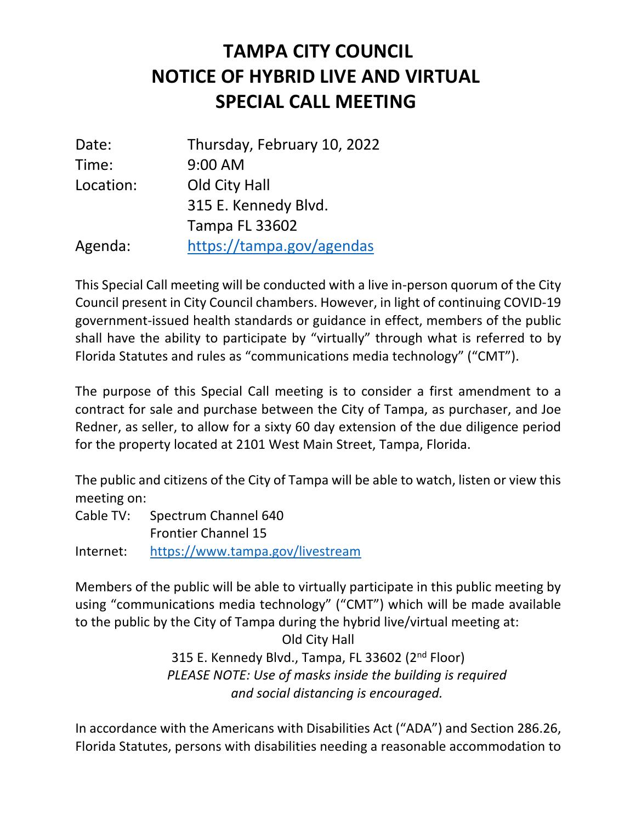## **NOTICE OF HYBRID LIVE AND VIRTUAL SPECIAL CALL MEETING TAMPA CITY COUNCIL**

| Date:     | Thursday, February 10, 2022 |
|-----------|-----------------------------|
| Time:     | 9:00 AM                     |
| Location: | Old City Hall               |
|           | 315 E. Kennedy Blvd.        |
|           | <b>Tampa FL 33602</b>       |
| Agenda:   | https://tampa.gov/agendas   |

 This Special Call meeting will be conducted with a live in-person quorum of the City Council present in City Council chambers. However, in light of continuing COVID-19 government-issued health standards or guidance in effect, members of the public shall have the ability to participate by "virtually" through what is referred to by Florida Statutes and rules as "communications media technology" ("CMT").

 The purpose of this Special Call meeting is to consider a first amendment to a contract for sale and purchase between the City of Tampa, as purchaser, and Joe Redner, as seller, to allow for a sixty 60 day extension of the due diligence period for the property located at 2101 West Main Street, Tampa, Florida.

 The public and citizens of the City of Tampa will be able to watch, listen or view this meeting on:

 Cable TV: Spectrum Channel 640 Frontier Channel 15 https://www.tampa.gov/livestream

Internet: https://www.tampa.gov/livestream<br>Members of the public will be able to virtually participate in this public meeting by using "communications media technology" ("CMT") which will be made available to the public by the City of Tampa during the hybrid live/virtual meeting at:

> Old City Hall 315 E. Kennedy Blvd., Tampa, FL 33602 (2<sup>nd</sup> Floor)  *PLEASE NOTE: Use of masks inside the building is required and social distancing is encouraged.*

 In accordance with the Americans with Disabilities Act ("ADA") and Section 286.26, Florida Statutes, persons with disabilities needing a reasonable accommodation to